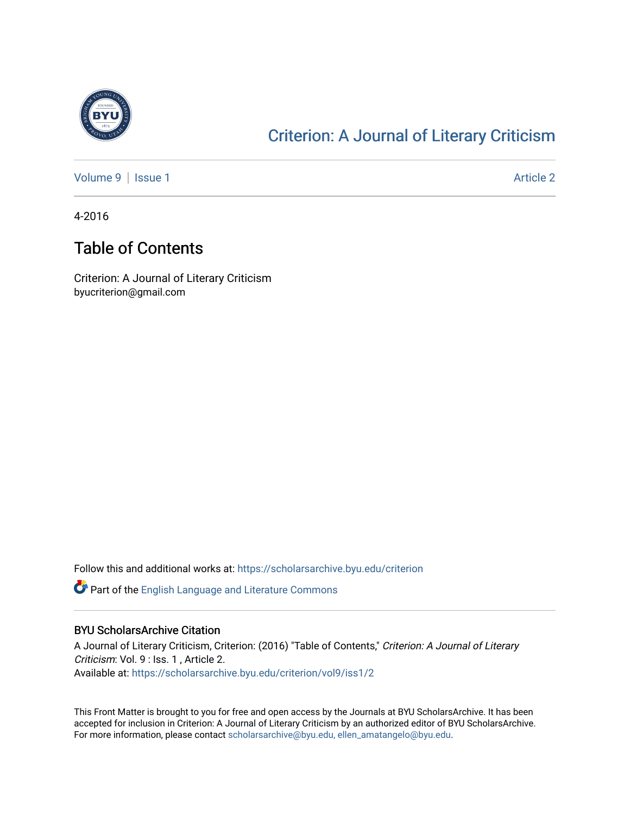

## [Criterion: A Journal of Literary Criticism](https://scholarsarchive.byu.edu/criterion)

[Volume 9](https://scholarsarchive.byu.edu/criterion/vol9) | [Issue 1](https://scholarsarchive.byu.edu/criterion/vol9/iss1) Article 2

4-2016

### Table of Contents

Criterion: A Journal of Literary Criticism byucriterion@gmail.com

Follow this and additional works at: [https://scholarsarchive.byu.edu/criterion](https://scholarsarchive.byu.edu/criterion?utm_source=scholarsarchive.byu.edu%2Fcriterion%2Fvol9%2Fiss1%2F2&utm_medium=PDF&utm_campaign=PDFCoverPages) 

Part of the [English Language and Literature Commons](http://network.bepress.com/hgg/discipline/455?utm_source=scholarsarchive.byu.edu%2Fcriterion%2Fvol9%2Fiss1%2F2&utm_medium=PDF&utm_campaign=PDFCoverPages)

#### BYU ScholarsArchive Citation

A Journal of Literary Criticism, Criterion: (2016) "Table of Contents," Criterion: A Journal of Literary Criticism: Vol. 9 : Iss. 1 , Article 2. Available at: [https://scholarsarchive.byu.edu/criterion/vol9/iss1/2](https://scholarsarchive.byu.edu/criterion/vol9/iss1/2?utm_source=scholarsarchive.byu.edu%2Fcriterion%2Fvol9%2Fiss1%2F2&utm_medium=PDF&utm_campaign=PDFCoverPages) 

This Front Matter is brought to you for free and open access by the Journals at BYU ScholarsArchive. It has been accepted for inclusion in Criterion: A Journal of Literary Criticism by an authorized editor of BYU ScholarsArchive. For more information, please contact [scholarsarchive@byu.edu, ellen\\_amatangelo@byu.edu](mailto:scholarsarchive@byu.edu,%20ellen_amatangelo@byu.edu).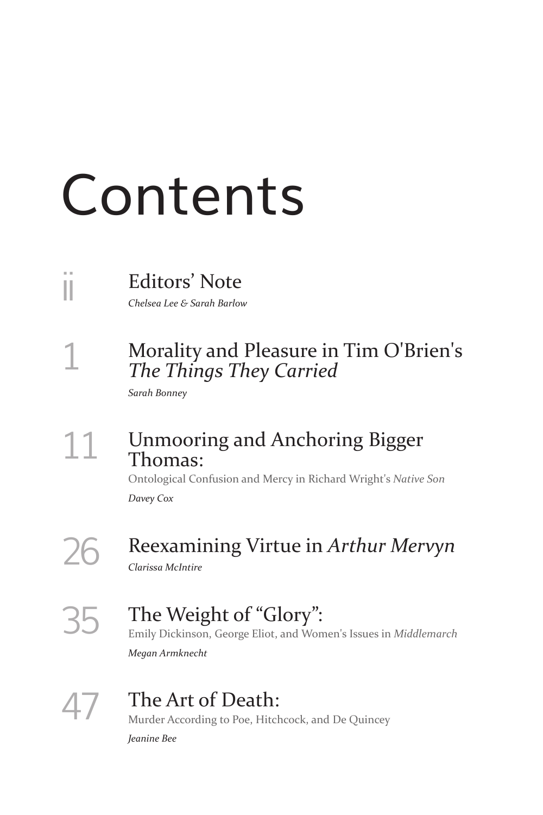# Contents

# ii Editors' Note

*Chelsea Lee & Sarah Barlow*

### 1 Morality and Pleasure in Tim O'Brien's *The Things They Carried*

*Sarah Bonney*

### 11 Unmooring and Anchoring Bigger Thomas:

Ontological Confusion and Mercy in Richard Wright's *Native Son Davey Cox*

# 26 Reexamining Virtue in *Arthur Mervyn*

*Clarissa McIntire*

#### 35 The Weight of "Glory": Emily Dickinson, George Eliot, and Women's Issues in *Middlemarch Megan Armknecht*

# 47 The Art of Death:

Murder According to Poe, Hitchcock, and De Quincey *Jeanine Bee*